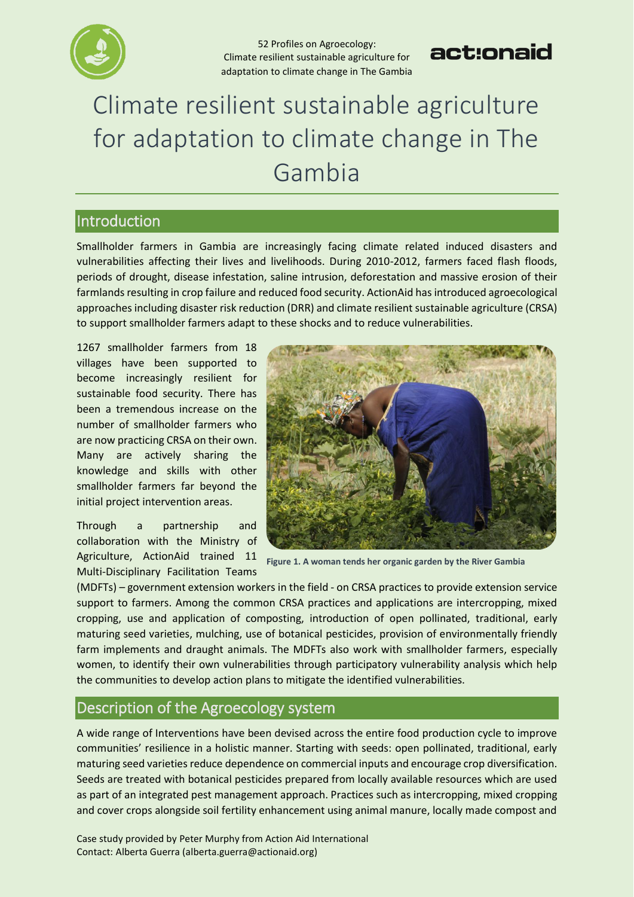

## act:onaid

# Climate resilient sustainable agriculture for adaptation to climate change in The Gambia

#### Introduction

Smallholder farmers in Gambia are increasingly facing climate related induced disasters and vulnerabilities affecting their lives and livelihoods. During 2010-2012, farmers faced flash floods, periods of drought, disease infestation, saline intrusion, deforestation and massive erosion of their farmlands resulting in crop failure and reduced food security. ActionAid has introduced agroecological approaches including disaster risk reduction (DRR) and climate resilient sustainable agriculture (CRSA) to support smallholder farmers adapt to these shocks and to reduce vulnerabilities.

1267 smallholder farmers from 18 villages have been supported to become increasingly resilient for sustainable food security. There has been a tremendous increase on the number of smallholder farmers who are now practicing CRSA on their own. Many are actively sharing the knowledge and skills with other smallholder farmers far beyond the initial project intervention areas.

Through a partnership and collaboration with the Ministry of Agriculture, ActionAid trained 11 Multi-Disciplinary Facilitation Teams



**Figure 1. A woman tends her organic garden by the River Gambia**

(MDFTs) – government extension workers in the field - on CRSA practices to provide extension service support to farmers. Among the common CRSA practices and applications are intercropping, mixed cropping, use and application of composting, introduction of open pollinated, traditional, early maturing seed varieties, mulching, use of botanical pesticides, provision of environmentally friendly farm implements and draught animals. The MDFTs also work with smallholder farmers, especially women, to identify their own vulnerabilities through participatory vulnerability analysis which help the communities to develop action plans to mitigate the identified vulnerabilities.

#### Description of the Agroecology system

A wide range of Interventions have been devised across the entire food production cycle to improve communities' resilience in a holistic manner. Starting with seeds: open pollinated, traditional, early maturing seed varieties reduce dependence on commercial inputs and encourage crop diversification. Seeds are treated with botanical pesticides prepared from locally available resources which are used as part of an integrated pest management approach. Practices such as intercropping, mixed cropping and cover crops alongside soil fertility enhancement using animal manure, locally made compost and

Case study provided by Peter Murphy from Action Aid International Contact: Alberta Guerra [\(alberta.guerra@actionaid.org\)](mailto:alberta.guerra@actionaid.org)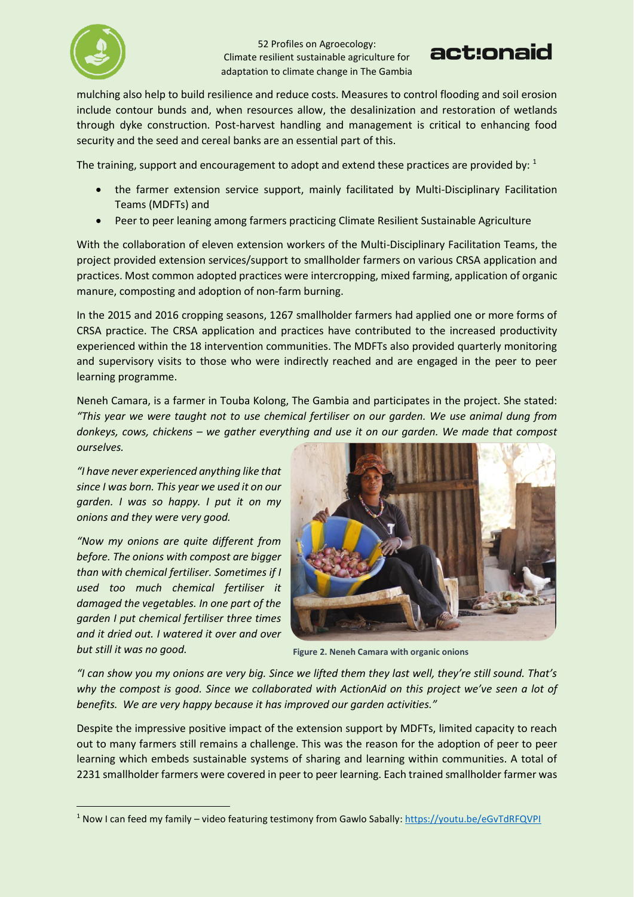



mulching also help to build resilience and reduce costs. Measures to control flooding and soil erosion include contour bunds and, when resources allow, the desalinization and restoration of wetlands through dyke construction. Post-harvest handling and management is critical to enhancing food security and the seed and cereal banks are an essential part of this.

The training, support and encouragement to adopt and extend these practices are provided by:  $1$ 

- the farmer extension service support, mainly facilitated by Multi-Disciplinary Facilitation Teams (MDFTs) and
- Peer to peer leaning among farmers practicing Climate Resilient Sustainable Agriculture

With the collaboration of eleven extension workers of the Multi-Disciplinary Facilitation Teams, the project provided extension services/support to smallholder farmers on various CRSA application and practices. Most common adopted practices were intercropping, mixed farming, application of organic manure, composting and adoption of non-farm burning.

In the 2015 and 2016 cropping seasons, 1267 smallholder farmers had applied one or more forms of CRSA practice. The CRSA application and practices have contributed to the increased productivity experienced within the 18 intervention communities. The MDFTs also provided quarterly monitoring and supervisory visits to those who were indirectly reached and are engaged in the peer to peer learning programme.

Neneh Camara, is a farmer in Touba Kolong, The Gambia and participates in the project. She stated: *"This year we were taught not to use chemical fertiliser on our garden. We use animal dung from donkeys, cows, chickens – we gather everything and use it on our garden. We made that compost ourselves.* 

*"I have never experienced anything like that since I was born. This year we used it on our garden. I was so happy. I put it on my onions and they were very good.*

*"Now my onions are quite different from before. The onions with compost are bigger than with chemical fertiliser. Sometimes if I used too much chemical fertiliser it damaged the vegetables. In one part of the garden I put chemical fertiliser three times and it dried out. I watered it over and over but still it was no good.*

 $\overline{\phantom{a}}$ 



**Figure 2. Neneh Camara with organic onions**

*"I can show you my onions are very big. Since we lifted them they last well, they're still sound. That's why the compost is good. Since we collaborated with ActionAid on this project we've seen a lot of benefits. We are very happy because it has improved our garden activities."*

Despite the impressive positive impact of the extension support by MDFTs, limited capacity to reach out to many farmers still remains a challenge. This was the reason for the adoption of peer to peer learning which embeds sustainable systems of sharing and learning within communities. A total of 2231 smallholder farmers were covered in peer to peer learning. Each trained smallholder farmer was

<sup>1</sup> Now I can feed my family – video featuring testimony from Gawlo Sabally[: https://youtu.be/eGvTdRFQVPI](https://youtu.be/eGvTdRFQVPI)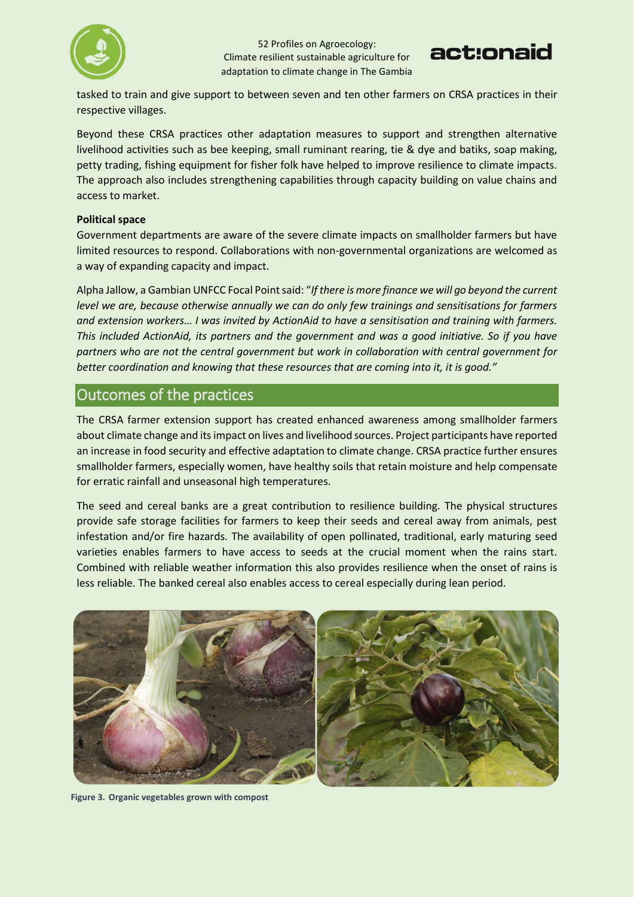



tasked to train and give support to between seven and ten other farmers on CRSA practices in their respective villages.

Beyond these CRSA practices other adaptation measures to support and strengthen alternative livelihood activities such as bee keeping, small ruminant rearing, tie & dye and batiks, soap making, petty trading, fishing equipment for fisher folk have helped to improve resilience to climate impacts. The approach also includes strengthening capabilities through capacity building on value chains and access to market.

#### **Political space**

Government departments are aware of the severe climate impacts on smallholder farmers but have limited resources to respond. Collaborations with non-governmental organizations are welcomed as a way of expanding capacity and impact.

Alpha Jallow, a Gambian UNFCC Focal Point said: "*If there is more finance we will go beyond the current level we are, because otherwise annually we can do only few trainings and sensitisations for farmers and extension workers… I was invited by ActionAid to have a sensitisation and training with farmers. This included ActionAid, its partners and the government and was a good initiative. So if you have partners who are not the central government but work in collaboration with central government for better coordination and knowing that these resources that are coming into it, it is good."*

#### Outcomes of the practices

The CRSA farmer extension support has created enhanced awareness among smallholder farmers about climate change and its impact on lives and livelihood sources. Project participants have reported an increase in food security and effective adaptation to climate change. CRSA practice further ensures smallholder farmers, especially women, have healthy soils that retain moisture and help compensate for erratic rainfall and unseasonal high temperatures.

The seed and cereal banks are a great contribution to resilience building. The physical structures provide safe storage facilities for farmers to keep their seeds and cereal away from animals, pest infestation and/or fire hazards. The availability of open pollinated, traditional, early maturing seed varieties enables farmers to have access to seeds at the crucial moment when the rains start. Combined with reliable weather information this also provides resilience when the onset of rains is less reliable. The banked cereal also enables access to cereal especially during lean period.



**Figure 3. Organic vegetables grown with compost**